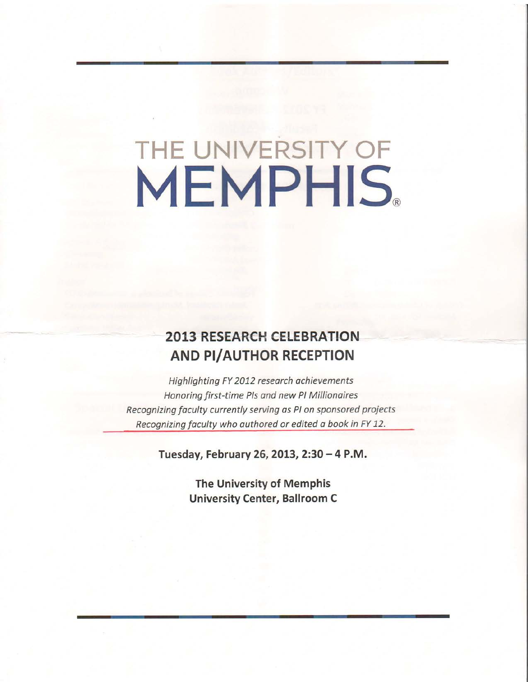# THE UNIVERSITY OF **MEMPHIS.**

# **2013 RESEARCH CELEBRATION** AND PI/AUTHOR RECEPTION

Highlighting FY 2012 research achievements Honoring first-time Pls and new Pl Millionaires Recognizing faculty currently serving as PI on sponsored projects Recognizing faculty who authored or edited a book in FY 12.

Tuesday, February 26, 2013, 2:30 - 4 P.M.

The University of Memphis University Center, Ballroom C